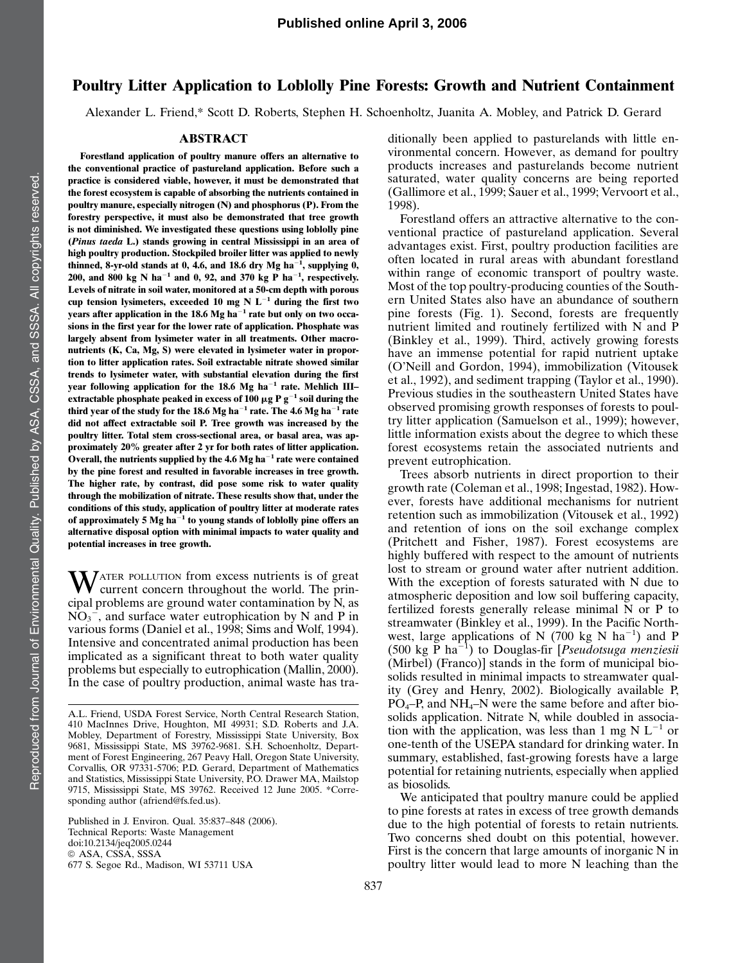## Poultry Litter Application to Loblolly Pine Forests: Growth and Nutrient Containment

Alexander L. Friend,\* Scott D. Roberts, Stephen H. Schoenholtz, Juanita A. Mobley, and Patrick D. Gerard

## ABSTRACT

Forestland application of poultry manure offers an alternative to the conventional practice of pastureland application. Before such a practice is considered viable, however, it must be demonstrated that the forest ecosystem is capable of absorbing the nutrients contained in poultry manure, especially nitrogen (N) and phosphorus (P). From the forestry perspective, it must also be demonstrated that tree growth is not diminished. We investigated these questions using loblolly pine (Pinus taeda L.) stands growing in central Mississippi in an area of high poultry production. Stockpiled broiler litter was applied to newly thinned, 8-yr-old stands at 0, 4.6, and 18.6 dry Mg ha<sup>-1</sup>, supplying 0, 200, and 800 kg N ha<sup>-1</sup> and 0, 92, and 370 kg P ha<sup>-1</sup>, respectively. Levels of nitrate in soil water, monitored at a 50-cm depth with porous cup tension lysimeters, exceeded 10 mg N  $L^{-1}$  during the first two years after application in the 18.6 Mg ha $^{-1}$  rate but only on two occasions in the first year for the lower rate of application. Phosphate was largely absent from lysimeter water in all treatments. Other macronutrients (K, Ca, Mg, S) were elevated in lysimeter water in proportion to litter application rates. Soil extractable nitrate showed similar trends to lysimeter water, with substantial elevation during the first year following application for the 18.6 Mg ha<sup>-1</sup> rate. Mehlich IIIextractable phosphate peaked in excess of 100  $\mu$ g P g<sup>-1</sup> soil during the third year of the study for the 18.6 Mg ha<sup> $-1$ </sup> rate. The 4.6 Mg ha<sup> $-1$ </sup> rate did not affect extractable soil P. Tree growth was increased by the poultry litter. Total stem cross-sectional area, or basal area, was approximately 20% greater after 2 yr for both rates of litter application. Overall, the nutrients supplied by the 4.6 Mg ha<sup> $-1$ </sup> rate were contained by the pine forest and resulted in favorable increases in tree growth. The higher rate, by contrast, did pose some risk to water quality through the mobilization of nitrate. These results show that, under the conditions of this study, application of poultry litter at moderate rates of approximately 5  $Mg$  ha<sup>-1</sup> to young stands of loblolly pine offers an alternative disposal option with minimal impacts to water quality and potential increases in tree growth.

WATER POLLUTION from excess nutrients is of great current concern throughout the world. The principal problems are ground water contamination by  $\tilde{N}$ , as  $\overline{NO_3}$ , and surface water eutrophication by N and P in various forms (Daniel et al., 1998; Sims and Wolf, 1994). Intensive and concentrated animal production has been implicated as a significant threat to both water quality problems but especially to eutrophication (Mallin, 2000). In the case of poultry production, animal waste has tra-

Published in J. Environ. Qual. 35:837–848 (2006). Technical Reports: Waste Management doi:10.2134/jeq2005.0244 *ª* ASA, CSSA, SSSA 677 S. Segoe Rd., Madison, WI 53711 USA

ditionally been applied to pasturelands with little environmental concern. However, as demand for poultry products increases and pasturelands become nutrient saturated, water quality concerns are being reported (Gallimore et al., 1999; Sauer et al., 1999; Vervoort et al., 1998).

Forestland offers an attractive alternative to the conventional practice of pastureland application. Several advantages exist. First, poultry production facilities are often located in rural areas with abundant forestland within range of economic transport of poultry waste. Most of the top poultry-producing counties of the Southern United States also have an abundance of southern pine forests (Fig. 1). Second, forests are frequently nutrient limited and routinely fertilized with N and P (Binkley et al., 1999). Third, actively growing forests have an immense potential for rapid nutrient uptake (O'Neill and Gordon, 1994), immobilization (Vitousek et al., 1992), and sediment trapping (Taylor et al., 1990). Previous studies in the southeastern United States have observed promising growth responses of forests to poultry litter application (Samuelson et al., 1999); however, little information exists about the degree to which these forest ecosystems retain the associated nutrients and prevent eutrophication.

Trees absorb nutrients in direct proportion to their growth rate (Coleman et al., 1998; Ingestad, 1982). However, forests have additional mechanisms for nutrient retention such as immobilization (Vitousek et al., 1992) and retention of ions on the soil exchange complex (Pritchett and Fisher, 1987). Forest ecosystems are highly buffered with respect to the amount of nutrients lost to stream or ground water after nutrient addition. With the exception of forests saturated with N due to atmospheric deposition and low soil buffering capacity, fertilized forests generally release minimal N or P to streamwater (Binkley et al., 1999). In the Pacific Northwest, large applications of N (700 kg N ha<sup>-1</sup>) and P (500 kg P ha<sup>-1</sup>) to Douglas-fir [*Pseudotsuga menziesii* (Mirbel) (Franco)] stands in the form of municipal biosolids resulted in minimal impacts to streamwater quality (Grey and Henry, 2002). Biologically available P,  $PO<sub>4</sub>-P$ , and NH<sub>4</sub>–N were the same before and after biosolids application. Nitrate N, while doubled in association with the application, was less than 1 mg N  $L^{-1}$  or one-tenth of the USEPA standard for drinking water. In summary, established, fast-growing forests have a large potential for retaining nutrients, especially when applied as biosolids.

We anticipated that poultry manure could be applied to pine forests at rates in excess of tree growth demands due to the high potential of forests to retain nutrients. Two concerns shed doubt on this potential, however. First is the concern that large amounts of inorganic N in poultry litter would lead to more N leaching than the

A.L. Friend, USDA Forest Service, North Central Research Station, 410 MacInnes Drive, Houghton, MI 49931; S.D. Roberts and J.A. Mobley, Department of Forestry, Mississippi State University, Box 9681, Mississippi State, MS 39762-9681. S.H. Schoenholtz, Department of Forest Engineering, 267 Peavy Hall, Oregon State University, Corvallis, OR 97331-5706; P.D. Gerard, Department of Mathematics and Statistics, Mississippi State University, P.O. Drawer MA, Mailstop 9715, Mississippi State, MS 39762. Received 12 June 2005. \*Corresponding author (afriend@fs.fed.us).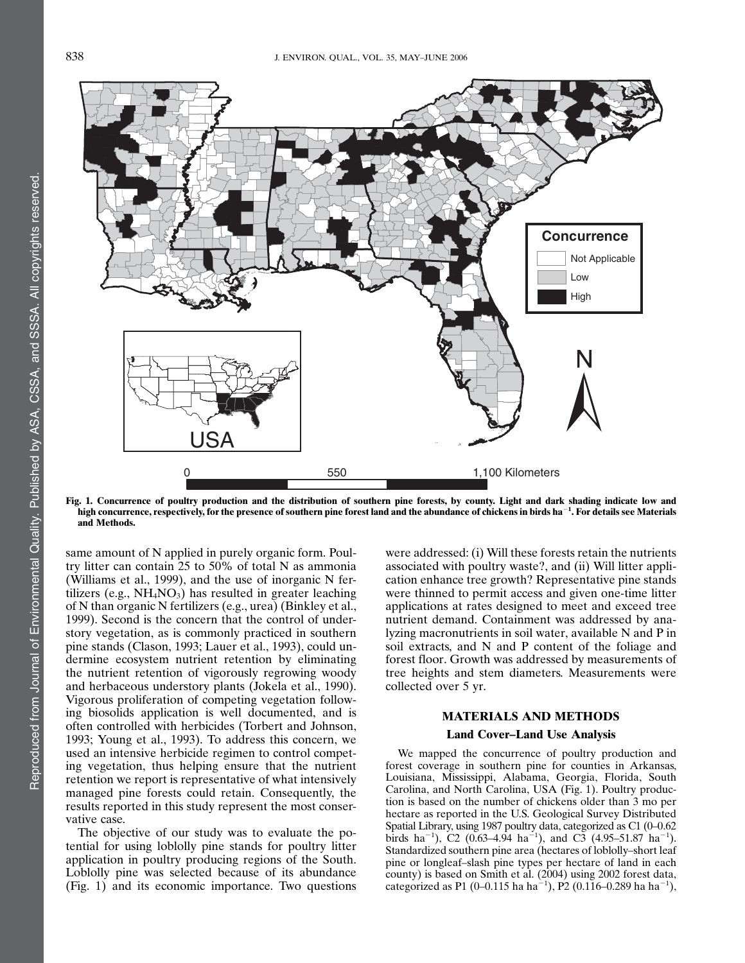

Fig. 1. Concurrence of poultry production and the distribution of southern pine forests, by county. Light and dark shading indicate low and high concurrence, respectively, for the presence of southern pine forest land and the abundance of chickens in birds ha $^{-1}\!.$  For details see Materials and Methods.

same amount of N applied in purely organic form. Poultry litter can contain 25 to 50% of total N as ammonia (Williams et al., 1999), and the use of inorganic N fertilizers (e.g.,  $NH<sub>4</sub>NO<sub>3</sub>$ ) has resulted in greater leaching of N than organic N fertilizers (e.g., urea) (Binkley et al., 1999). Second is the concern that the control of understory vegetation, as is commonly practiced in southern pine stands (Clason, 1993; Lauer et al., 1993), could undermine ecosystem nutrient retention by eliminating the nutrient retention of vigorously regrowing woody and herbaceous understory plants (Jokela et al., 1990). Vigorous proliferation of competing vegetation following biosolids application is well documented, and is often controlled with herbicides (Torbert and Johnson, 1993; Young et al., 1993). To address this concern, we used an intensive herbicide regimen to control competing vegetation, thus helping ensure that the nutrient retention we report is representative of what intensively managed pine forests could retain. Consequently, the results reported in this study represent the most conservative case.

The objective of our study was to evaluate the potential for using loblolly pine stands for poultry litter application in poultry producing regions of the South. Loblolly pine was selected because of its abundance (Fig. 1) and its economic importance. Two questions

were addressed: (i) Will these forests retain the nutrients associated with poultry waste?, and (ii) Will litter application enhance tree growth? Representative pine stands were thinned to permit access and given one-time litter applications at rates designed to meet and exceed tree nutrient demand. Containment was addressed by analyzing macronutrients in soil water, available N and P in soil extracts, and N and P content of the foliage and forest floor. Growth was addressed by measurements of tree heights and stem diameters. Measurements were collected over 5 yr.

# MATERIALS AND METHODS

## Land Cover–Land Use Analysis

We mapped the concurrence of poultry production and forest coverage in southern pine for counties in Arkansas, Louisiana, Mississippi, Alabama, Georgia, Florida, South Carolina, and North Carolina, USA (Fig. 1). Poultry production is based on the number of chickens older than 3 mo per hectare as reported in the U.S. Geological Survey Distributed Spatial Library, using 1987 poultry data, categorized as C1 (0–0.62 birds ha<sup>-1</sup>), C2 (0.63–4.94 ha<sup>-1</sup>), and C3 (4.95–51.87 ha<sup>-1</sup>). Standardized southern pine area (hectares of loblolly–short leaf pine or longleaf–slash pine types per hectare of land in each county) is based on Smith et al. (2004) using 2002 forest data, categorized as P1 (0–0.115 ha ha<sup>-1</sup>), P2 (0.116–0.289 ha ha<sup>-1</sup>),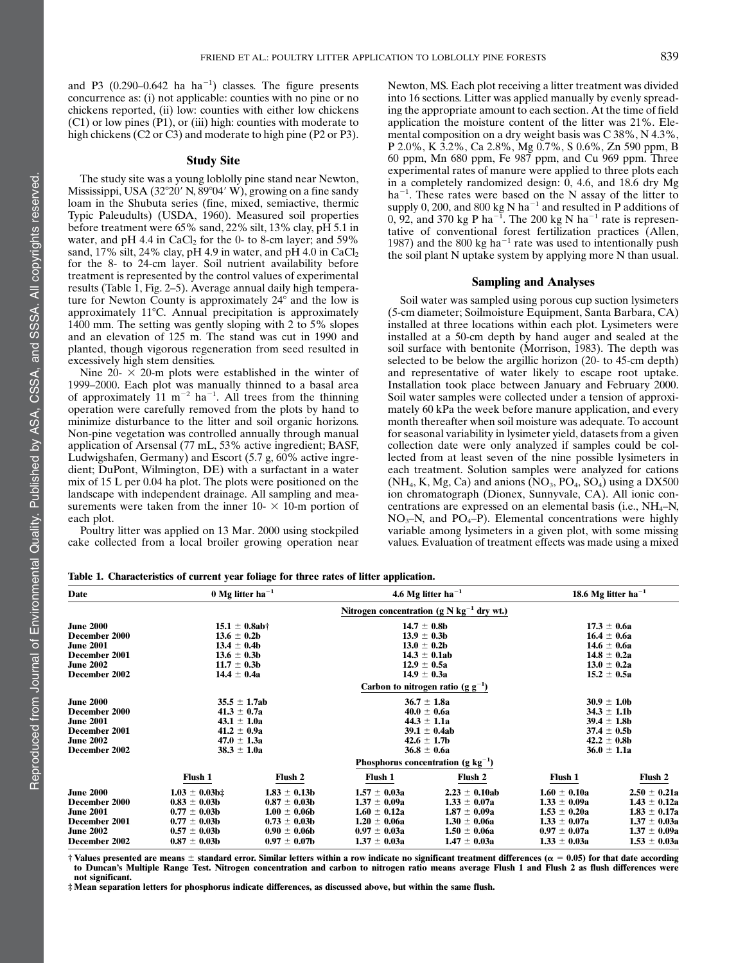and P3  $(0.290-0.642 \text{ ha ha}^{-1})$  classes. The figure presents concurrence as: (i) not applicable: counties with no pine or no chickens reported, (ii) low: counties with either low chickens (C1) or low pines (P1), or (iii) high: counties with moderate to high chickens (C2 or C3) and moderate to high pine (P2 or P3).

#### Study Site

The study site was a young loblolly pine stand near Newton, Mississippi, USA  $(32^{\circ}20'$  N,  $89^{\circ}04'$  W), growing on a fine sandy loam in the Shubuta series (fine, mixed, semiactive, thermic Typic Paleudults) (USDA, 1960). Measured soil properties before treatment were 65% sand, 22% silt, 13% clay, pH 5.1 in water, and pH 4.4 in  $CaCl<sub>2</sub>$  for the 0- to 8-cm layer; and 59% sand, 17% silt, 24% clay, pH 4.9 in water, and pH 4.0 in  $CaCl<sub>2</sub>$ for the 8- to 24-cm layer. Soil nutrient availability before treatment is represented by the control values of experimental results (Table 1, Fig. 2–5). Average annual daily high temperature for Newton County is approximately 24° and the low is approximately 11°C. Annual precipitation is approximately 1400 mm. The setting was gently sloping with 2 to 5% slopes and an elevation of 125 m. The stand was cut in 1990 and planted, though vigorous regeneration from seed resulted in excessively high stem densities.

Nine  $20 - \times 20$ -m plots were established in the winter of 1999–2000. Each plot was manually thinned to a basal area of approximately  $11 \text{ m}^{-2}$  ha<sup>-1</sup>. All trees from the thinning operation were carefully removed from the plots by hand to minimize disturbance to the litter and soil organic horizons. Non-pine vegetation was controlled annually through manual application of Arsensal (77 mL, 53% active ingredient; BASF, Ludwigshafen, Germany) and Escort (5.7 g, 60% active ingredient; DuPont, Wilmington, DE) with a surfactant in a water mix of 15 L per 0.04 ha plot. The plots were positioned on the landscape with independent drainage. All sampling and measurements were taken from the inner  $10- \times 10$ -m portion of each plot.

Poultry litter was applied on 13 Mar. 2000 using stockpiled cake collected from a local broiler growing operation near Newton, MS. Each plot receiving a litter treatment was divided into 16 sections. Litter was applied manually by evenly spreading the appropriate amount to each section. At the time of field application the moisture content of the litter was 21%. Elemental composition on a dry weight basis was C 38%, N 4.3%, P 2.0%, K 3.2%, Ca 2.8%, Mg 0.7%, S 0.6%, Zn 590 ppm, B 60 ppm, Mn 680 ppm, Fe 987 ppm, and Cu 969 ppm. Three experimental rates of manure were applied to three plots each in a completely randomized design:  $\overline{0}$ , 4.6, and 18.6 dry Mg ha<sup>-1</sup>. These rates were based on the N assay of the litter to supply 0, 200, and 800 kg N ha<sup>-1</sup> and resulted in P additions of 0, 92, and 370 kg P ha<sup>-1</sup>. The 200 kg N ha<sup>-1</sup> rate is representative of conventional forest fertilization practices (Allen, 1987) and the 800 kg ha<sup>-1</sup> rate was used to intentionally push the soil plant N uptake system by applying more N than usual.

#### Sampling and Analyses

Soil water was sampled using porous cup suction lysimeters (5-cm diameter; Soilmoisture Equipment, Santa Barbara, CA) installed at three locations within each plot. Lysimeters were installed at a 50-cm depth by hand auger and sealed at the soil surface with bentonite (Morrison, 1983). The depth was selected to be below the argillic horizon (20- to 45-cm depth) and representative of water likely to escape root uptake. Installation took place between January and February 2000. Soil water samples were collected under a tension of approximately 60 kPa the week before manure application, and every month thereafter when soil moisture was adequate. To account for seasonal variability in lysimeter yield, datasets from a given collection date were only analyzed if samples could be collected from at least seven of the nine possible lysimeters in each treatment. Solution samples were analyzed for cations  $(NH_4, K, Mg, Ca)$  and anions  $(NO_3, PO_4, SO_4)$  using a DX500 ion chromatograph (Dionex, Sunnyvale, CA). All ionic concentrations are expressed on an elemental basis (i.e.,  $NH_4-N$ ,  $NO<sub>3</sub>–N$ , and  $PO<sub>4</sub>–P$ ). Elemental concentrations were highly variable among lysimeters in a given plot, with some missing values. Evaluation of treatment effects was made using a mixed

| Table 1. Characteristics of current vear foliage for three rates of litter application. |  |
|-----------------------------------------------------------------------------------------|--|
|-----------------------------------------------------------------------------------------|--|

| Date                 | $0$ Mg litter ha <sup>-1</sup>          |                                                |                  | 4.6 Mg litter ha <sup>-1</sup> |                  | 18.6 Mg litter ha <sup>-1</sup> |  |
|----------------------|-----------------------------------------|------------------------------------------------|------------------|--------------------------------|------------------|---------------------------------|--|
|                      |                                         | Nitrogen concentration (g N $kg^{-1}$ dry wt.) |                  |                                |                  |                                 |  |
| <b>June 2000</b>     | $15.1 \pm 0.8$ ab†                      |                                                | $14.7 \pm 0.8$ b |                                | $17.3 \pm 0.6a$  |                                 |  |
| <b>December 2000</b> | $13.6 \pm 0.2b$                         |                                                | $13.9 \pm 0.3b$  |                                | $16.4 \pm 0.6a$  |                                 |  |
| <b>June 2001</b>     | $13.4 \pm 0.4b$                         |                                                | $13.0 \pm 0.2b$  |                                | $14.6 \pm 0.6a$  |                                 |  |
| December 2001        | $13.6 \pm 0.3b$                         |                                                | $14.3 \pm 0.1ab$ |                                | $14.8 \pm 0.2a$  |                                 |  |
| <b>June 2002</b>     | $11.7 \pm 0.3b$                         |                                                | $12.9 \pm 0.5a$  |                                | $13.0 \pm 0.2a$  |                                 |  |
| December 2002        | $14.4 \pm 0.4a$                         |                                                | $14.9 \pm 0.3a$  |                                | $15.2 \pm 0.5a$  |                                 |  |
|                      | Carbon to nitrogen ratio (g $g^{-1}$ )  |                                                |                  |                                |                  |                                 |  |
| <b>June 2000</b>     | $35.5 \pm 1.7ab$                        |                                                | $36.7 \pm 1.8a$  |                                |                  | $30.9 \pm 1.0$ b                |  |
| December 2000        | $41.3 \pm 0.7a$                         |                                                | $40.0 \pm 0.6a$  |                                |                  | $34.3 \pm 1.1b$                 |  |
| <b>June 2001</b>     | $43.1 \pm 1.0a$                         |                                                | $44.3 \pm 1.1a$  |                                |                  | $39.4 \pm 1.8$ b                |  |
| December 2001        | $41.2 \pm 0.9a$                         |                                                | $39.1 \pm 0.4ab$ |                                | $37.4 \pm 0.5b$  |                                 |  |
| <b>June 2002</b>     | $47.0 \pm 1.3a$                         |                                                | $42.6 \pm 1.7b$  |                                | $42.2 \pm 0.8b$  |                                 |  |
| December 2002        | $38.3 \pm 1.0a$                         |                                                | $36.8 \pm 0.6a$  |                                | $36.0 \pm 1.1a$  |                                 |  |
|                      | Phosphorus concentration (g $kg^{-1}$ ) |                                                |                  |                                |                  |                                 |  |
|                      | <b>Flush 1</b>                          | Flush 2                                        | <b>Flush 1</b>   | Flush 2                        | Flush 1          | Flush 2                         |  |
| <b>June 2000</b>     | $1.03 \pm 0.03$ b‡                      | $1.83 \pm 0.13b$                               | $1.57 \pm 0.03a$ | $2.23 \pm 0.10$ ab             | $1.60 \pm 0.10a$ | $2.50 \pm 0.21a$                |  |
| December 2000        | $0.83 \pm 0.03b$                        | $0.87 \pm 0.03b$                               | $1.37 \pm 0.09a$ | $1.33 \pm 0.07a$               | $1.33 \pm 0.09a$ | $1.43 \pm 0.12a$                |  |
| <b>June 2001</b>     | $0.77 \pm 0.03b$                        | $1.00 \pm 0.06$ b                              | $1.60 \pm 0.12a$ | $1.87 \pm 0.09a$               | $1.53 \pm 0.20a$ | $1.83 \pm 0.17a$                |  |
| December 2001        | $0.77 \pm 0.03b$                        | $0.73 \pm 0.03b$                               | $1.20 \pm 0.06a$ | $1.30 \pm 0.06a$               | $1.33 \pm 0.07a$ | $1.37 \pm 0.03a$                |  |
| <b>June 2002</b>     | $0.57 \pm 0.03b$                        | $0.90 \pm 0.06b$                               | $0.97 \pm 0.03a$ | $1.50 \pm 0.06a$               | $0.97 \pm 0.07a$ | $1.37 \pm 0.09a$                |  |
| December 2002        | $0.87 \pm 0.03b$                        | $0.97 \pm 0.07$ b                              | $1.37 \pm 0.03a$ | $1.47 \pm 0.03a$               | $1.33 \pm 0.03a$ | $1.53 \pm 0.03a$                |  |
|                      |                                         |                                                |                  |                                |                  |                                 |  |

 $\dagger$  Values presented are means  $\pm$  standard error. Similar letters within a row indicate no significant treatment differences ( $\alpha = 0.05$ ) for that date according to Duncan's Multiple Range Test. Nitrogen concentration and carbon to nitrogen ratio means average Flush 1 and Flush 2 as flush differences were not significant.

‡ Mean separation letters for phosphorus indicate differences, as discussed above, but within the same flush.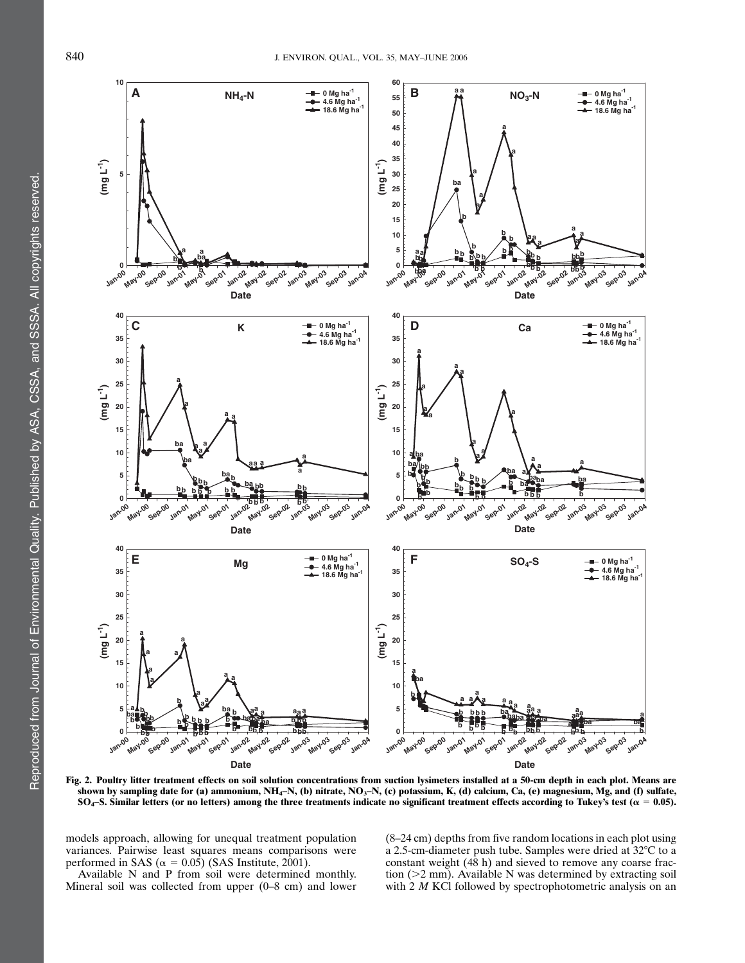

Fig. 2. Poultry litter treatment effects on soil solution concentrations from suction lysimeters installed at a 50-cm depth in each plot. Means are shown by sampling date for (a) ammonium,  $NH_4-N$ , (b) nitrate,  $NO_3-N$ , (c) potassium, K, (d) calcium, Ca, (e) magnesium, Mg, and (f) sulfate, SO<sub>4</sub>–S. Similar letters (or no letters) among the three treatments indicate no significant treatment effects according to Tukey's test ( $\alpha = 0.05$ ).

models approach, allowing for unequal treatment population variances. Pairwise least squares means comparisons were performed in SAS ( $\alpha = 0.05$ ) (SAS Institute, 2001).

Available N and P from soil were determined monthly. Mineral soil was collected from upper (0–8 cm) and lower (8–24 cm) depths from five random locations in each plot using a 2.5-cm-diameter push tube. Samples were dried at  $32^{\circ}$ C to a constant weight (48 h) and sieved to remove any coarse fraction  $(>2$  mm). Available N was determined by extracting soil with 2 M KCl followed by spectrophotometric analysis on an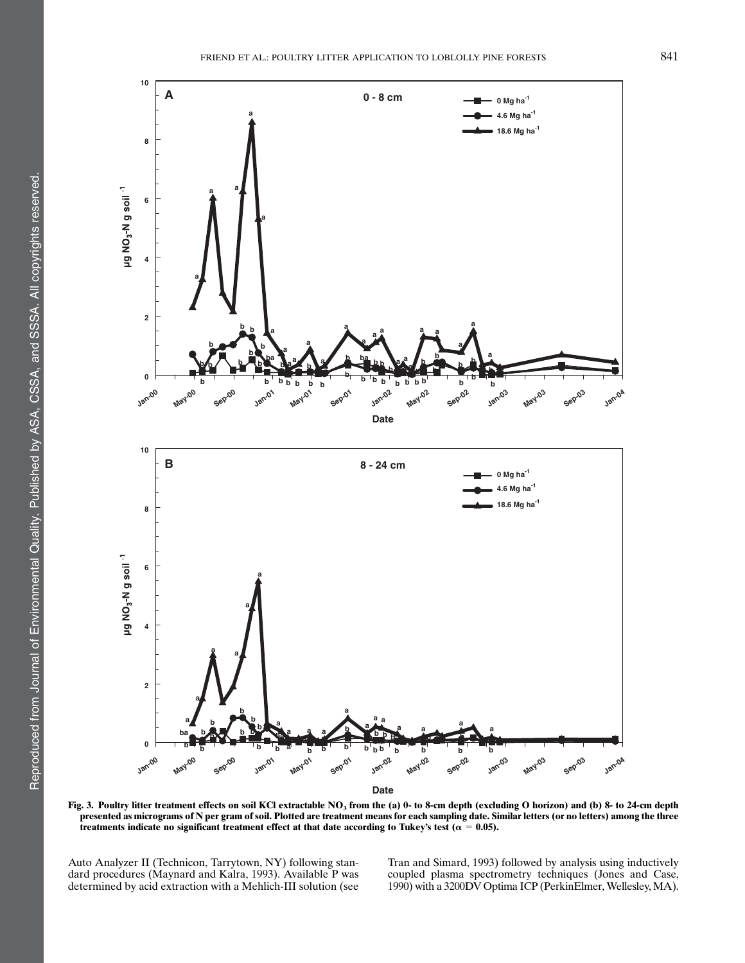

**Date**

Fig. 3. Poultry litter treatment effects on soil KCl extractable NO<sub>3</sub> from the (a) 0- to 8-cm depth (excluding O horizon) and (b) 8- to 24-cm depth presented as micrograms of N per gram of soil. Plotted are treatment means for each sampling date. Similar letters (or no letters) among the three treatments indicate no significant treatment effect at that date according to Tukey's test ( $\alpha = 0.05$ ).

Auto Analyzer II (Technicon, Tarrytown, NY) following standard procedures (Maynard and Kalra, 1993). Available P was determined by acid extraction with a Mehlich-III solution (see Tran and Simard, 1993) followed by analysis using inductively coupled plasma spectrometry techniques (Jones and Case, 1990) with a 3200DV Optima ICP (PerkinElmer, Wellesley, MA).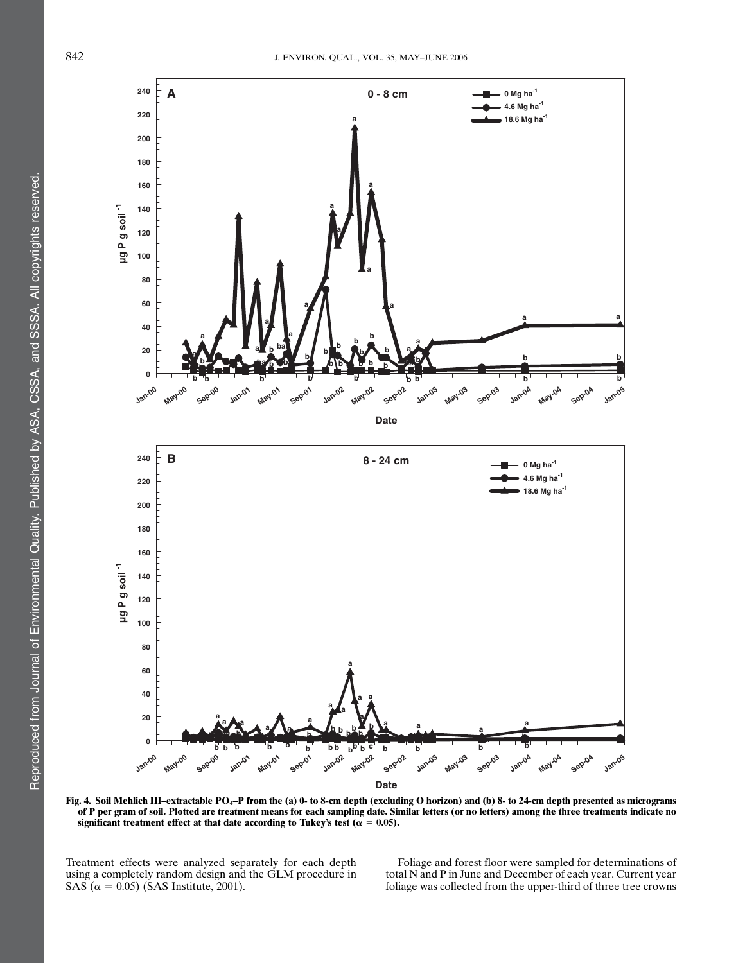

Fig. 4. Soil Mehlich III–extractable PO<sub>4</sub>–P from the (a) 0- to 8-cm depth (excluding O horizon) and (b) 8- to 24-cm depth presented as micrograms of P per gram of soil. Plotted are treatment means for each sampling date. Similar letters (or no letters) among the three treatments indicate no significant treatment effect at that date according to Tukey's test ( $\alpha = 0.05$ ).

Treatment effects were analyzed separately for each depth using a completely random design and the GLM procedure in SAS ( $\alpha = 0.05$ ) (SAS Institute, 2001).

Foliage and forest floor were sampled for determinations of total N and P in June and December of each year. Current year foliage was collected from the upper-third of three tree crowns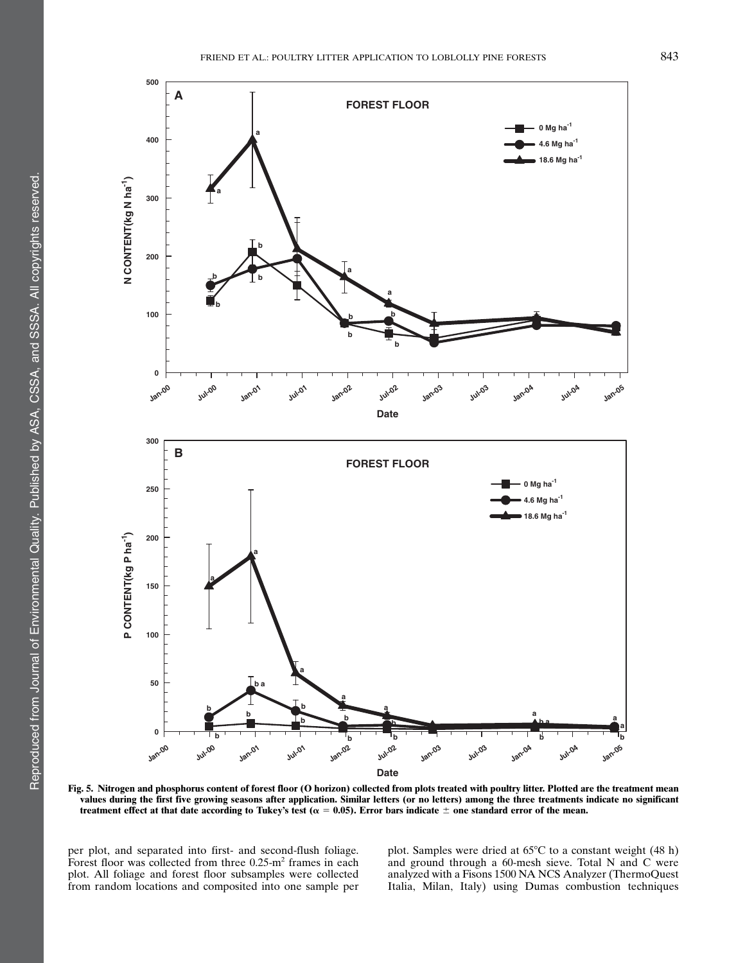

Fig. 5. Nitrogen and phosphorus content of forest floor (O horizon) collected from plots treated with poultry litter. Plotted are the treatment mean values during the first five growing seasons after application. Similar letters (or no letters) among the three treatments indicate no significant treatment effect at that date according to Tukey's test ( $\alpha = 0.05$ ). Error bars indicate  $\pm$  one standard error of the mean.

per plot, and separated into first- and second-flush foliage. Forest floor was collected from three  $0.25 \text{--} m^2$  frames in each plot. All foliage and forest floor subsamples were collected from random locations and composited into one sample per plot. Samples were dried at  $65^{\circ}$ C to a constant weight (48 h) and ground through a 60-mesh sieve. Total N and C were analyzed with a Fisons 1500 NA NCS Analyzer (ThermoQuest Italia, Milan, Italy) using Dumas combustion techniques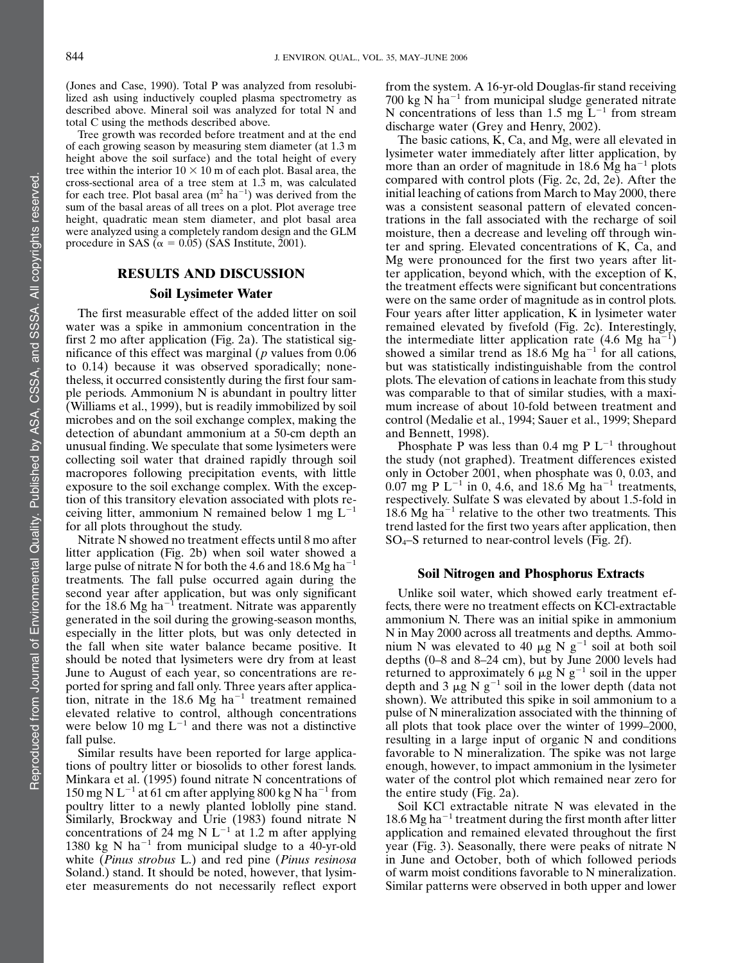(Jones and Case, 1990). Total P was analyzed from resolubilized ash using inductively coupled plasma spectrometry as described above. Mineral soil was analyzed for total N and total C using the methods described above.

Tree growth was recorded before treatment and at the end of each growing season by measuring stem diameter (at 1.3 m height above the soil surface) and the total height of every tree within the interior  $10 \times 10$  m of each plot. Basal area, the cross-sectional area of a tree stem at 1.3 m, was calculated for each tree. Plot basal area  $(m^2 \text{ ha}^{-1})$  was derived from the sum of the basal areas of all trees on a plot. Plot average tree height, quadratic mean stem diameter, and plot basal area were analyzed using a completely random design and the GLM procedure in SAS ( $\alpha = 0.05$ ) (SAS Institute, 2001).

## RESULTS AND DISCUSSION Soil Lysimeter Water

The first measurable effect of the added litter on soil water was a spike in ammonium concentration in the first 2 mo after application (Fig. 2a). The statistical significance of this effect was marginal ( $p$  values from 0.06 to 0.14) because it was observed sporadically; nonetheless, it occurred consistently during the first four sample periods. Ammonium N is abundant in poultry litter (Williams et al., 1999), but is readily immobilized by soil microbes and on the soil exchange complex, making the detection of abundant ammonium at a 50-cm depth an unusual finding. We speculate that some lysimeters were collecting soil water that drained rapidly through soil macropores following precipitation events, with little exposure to the soil exchange complex. With the exception of this transitory elevation associated with plots receiving litter, ammonium N remained below 1 mg  $L^{-1}$ for all plots throughout the study.

Nitrate N showed no treatment effects until 8 mo after litter application (Fig. 2b) when soil water showed a large pulse of nitrate N for both the 4.6 and 18.6 Mg ha<sup>-1</sup> treatments. The fall pulse occurred again during the second year after application, but was only significant for the 18.6 Mg ha<sup>-1</sup> treatment. Nitrate was apparently generated in the soil during the growing-season months, especially in the litter plots, but was only detected in the fall when site water balance became positive. It should be noted that lysimeters were dry from at least June to August of each year, so concentrations are reported for spring and fall only. Three years after application, nitrate in the 18.6 Mg ha<sup> $-1$ </sup> treatment remained elevated relative to control, although concentrations were below 10 mg  $L^{-1}$  and there was not a distinctive fall pulse.

Similar results have been reported for large applications of poultry litter or biosolids to other forest lands. Minkara et al. (1995) found nitrate N concentrations of 150 mg N L<sup>-1</sup> at 61 cm after applying 800 kg N ha<sup>-1</sup> from poultry litter to a newly planted loblolly pine stand. Similarly, Brockway and Urie (1983) found nitrate N concentrations of 24 mg N  $L^{-1}$  at 1.2 m after applying 1380 kg N ha<sup>-1</sup> from municipal sludge to a 40-yr-old white *(Pinus strobus L.)* and red pine *(Pinus resinosa*) Soland.) stand. It should be noted, however, that lysimeter measurements do not necessarily reflect export from the system. A 16-yr-old Douglas-fir stand receiving 700 kg N ha<sup> $-1$ </sup> from municipal sludge generated nitrate N concentrations of less than 1.5 mg  $L^{-1}$  from stream discharge water (Grey and Henry, 2002).

The basic cations, K, Ca, and Mg, were all elevated in lysimeter water immediately after litter application, by more than an order of magnitude in 18.6 Mg ha<sup> $-1$ </sup> plots compared with control plots (Fig. 2c, 2d, 2e). After the initial leaching of cations from March to May 2000, there was a consistent seasonal pattern of elevated concentrations in the fall associated with the recharge of soil moisture, then a decrease and leveling off through winter and spring. Elevated concentrations of K, Ca, and Mg were pronounced for the first two years after litter application, beyond which, with the exception of K, the treatment effects were significant but concentrations were on the same order of magnitude as in control plots. Four years after litter application, K in lysimeter water remained elevated by fivefold (Fig. 2c). Interestingly, the intermediate litter application rate  $(4.6 \text{ Mg} \text{ ha}^{-1})$ showed a similar trend as  $18.6 \text{ Mg} \text{ ha}^{-1}$  for all cations, but was statistically indistinguishable from the control plots. The elevation of cations in leachate from this study was comparable to that of similar studies, with a maximum increase of about 10-fold between treatment and control (Medalie et al., 1994; Sauer et al., 1999; Shepard and Bennett, 1998).

Phosphate P was less than 0.4 mg P  $L^{-1}$  throughout the study (not graphed). Treatment differences existed only in October 2001, when phosphate was 0, 0.03, and 0.07 mg P  $L^{-1}$  in 0, 4.6, and 18.6 Mg ha<sup>-1</sup> treatments, respectively. Sulfate S was elevated by about 1.5-fold in 18.6 Mg ha<sup> $-1$ </sup> relative to the other two treatments. This trend lasted for the first two years after application, then SO4–S returned to near-control levels (Fig. 2f).

## Soil Nitrogen and Phosphorus Extracts

Unlike soil water, which showed early treatment effects, there were no treatment effects on KCl-extractable ammonium N. There was an initial spike in ammonium N in May 2000 across all treatments and depths. Ammonium N was elevated to 40  $\mu$ g N g<sup>-1</sup> soil at both soil depths (0–8 and 8–24 cm), but by June 2000 levels had returned to approximately 6  $\mu$ g N g<sup>-1</sup> soil in the upper depth and 3  $\mu$ g N g<sup>-1</sup> soil in the lower depth (data not shown). We attributed this spike in soil ammonium to a pulse of N mineralization associated with the thinning of all plots that took place over the winter of 1999–2000, resulting in a large input of organic N and conditions favorable to N mineralization. The spike was not large enough, however, to impact ammonium in the lysimeter water of the control plot which remained near zero for the entire study (Fig. 2a).

Soil KCl extractable nitrate N was elevated in the 18.6 Mg ha<sup> $-1$ </sup> treatment during the first month after litter application and remained elevated throughout the first year (Fig. 3). Seasonally, there were peaks of nitrate N in June and October, both of which followed periods of warm moist conditions favorable to N mineralization. Similar patterns were observed in both upper and lower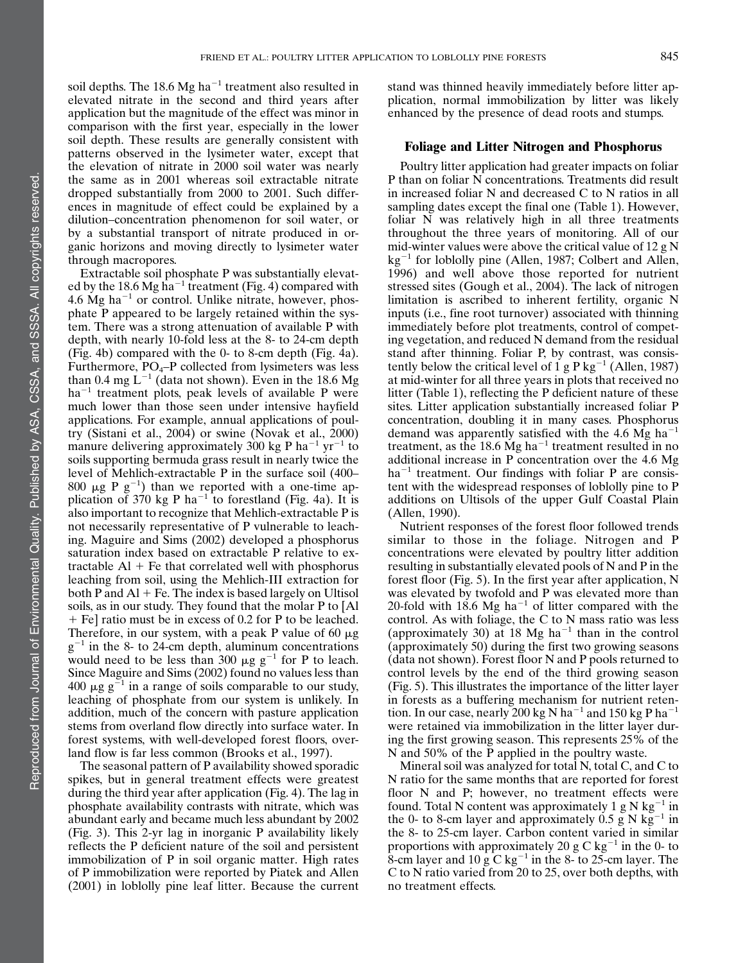soil depths. The 18.6 Mg ha<sup> $-1$ </sup> treatment also resulted in elevated nitrate in the second and third years after application but the magnitude of the effect was minor in comparison with the first year, especially in the lower soil depth. These results are generally consistent with patterns observed in the lysimeter water, except that the elevation of nitrate in 2000 soil water was nearly the same as in 2001 whereas soil extractable nitrate dropped substantially from 2000 to 2001. Such differences in magnitude of effect could be explained by a dilution–concentration phenomenon for soil water, or by a substantial transport of nitrate produced in organic horizons and moving directly to lysimeter water through macropores.

Extractable soil phosphate P was substantially elevated by the 18.6 Mg ha<sup>-1</sup> treatment (Fig. 4) compared with 4.6 Mg ha<sup> $-1$ </sup> or control. Unlike nitrate, however, phosphate P appeared to be largely retained within the system. There was a strong attenuation of available P with depth, with nearly 10-fold less at the 8- to 24-cm depth (Fig. 4b) compared with the 0- to 8-cm depth (Fig. 4a). Furthermore,  $PO_4$ –P collected from lysimeters was less than 0.4 mg  $L^{-1}$  (data not shown). Even in the 18.6 Mg  $ha^{-1}$  treatment plots, peak levels of available P were much lower than those seen under intensive hayfield applications. For example, annual applications of poultry (Sistani et al., 2004) or swine (Novak et al., 2000) manure delivering approximately 300 kg P ha<sup>-1</sup> yr<sup>-1</sup> to soils supporting bermuda grass result in nearly twice the level of Mehlich-extractable P in the surface soil (400– 800  $\mu$ g P g<sup>-1</sup>) than we reported with a one-time application of  $370 \text{ kg} \text{ P} \text{ ha}^{-1}$  to forestland (Fig. 4a). It is also important to recognize that Mehlich-extractable P is not necessarily representative of P vulnerable to leaching. Maguire and Sims (2002) developed a phosphorus saturation index based on extractable P relative to extractable  $AI + Fe$  that correlated well with phosphorus leaching from soil, using the Mehlich-III extraction for both P and  $AI$  + Fe. The index is based largely on Ultisol soils, as in our study. They found that the molar P to [Al 1 Fe] ratio must be in excess of 0.2 for P to be leached. Therefore, in our system, with a peak P value of 60  $\mu$ g  $g^{-1}$  in the 8- to 24-cm depth, aluminum concentrations would need to be less than 300  $\mu$ g g<sup>-1</sup> for P to leach. Since Maguire and Sims (2002) found no values less than 400  $\mu$ g g<sup>-1</sup> in a range of soils comparable to our study, leaching of phosphate from our system is unlikely. In addition, much of the concern with pasture application stems from overland flow directly into surface water. In forest systems, with well-developed forest floors, overland flow is far less common (Brooks et al., 1997).

The seasonal pattern of P availability showed sporadic spikes, but in general treatment effects were greatest during the third year after application (Fig. 4). The lag in phosphate availability contrasts with nitrate, which was abundant early and became much less abundant by 2002 (Fig. 3). This 2-yr lag in inorganic P availability likely reflects the P deficient nature of the soil and persistent immobilization of P in soil organic matter. High rates of P immobilization were reported by Piatek and Allen (2001) in loblolly pine leaf litter. Because the current

stand was thinned heavily immediately before litter application, normal immobilization by litter was likely enhanced by the presence of dead roots and stumps.

## Foliage and Litter Nitrogen and Phosphorus

Poultry litter application had greater impacts on foliar P than on foliar N concentrations. Treatments did result in increased foliar N and decreased C to N ratios in all sampling dates except the final one (Table 1). However, foliar N was relatively high in all three treatments throughout the three years of monitoring. All of our mid-winter values were above the critical value of 12 g N  $kg^{-1}$  for loblolly pine (Allen, 1987; Colbert and Allen, 1996) and well above those reported for nutrient stressed sites (Gough et al., 2004). The lack of nitrogen limitation is ascribed to inherent fertility, organic N inputs (i.e., fine root turnover) associated with thinning immediately before plot treatments, control of competing vegetation, and reduced N demand from the residual stand after thinning. Foliar P, by contrast, was consistently below the critical level of 1 g P kg<sup>-1</sup> (Allen, 1987) at mid-winter for all three years in plots that received no litter (Table 1), reflecting the P deficient nature of these sites. Litter application substantially increased foliar P concentration, doubling it in many cases. Phosphorus demand was apparently satisfied with the 4.6 Mg ha<sup> $-1$ </sup> treatment, as the 18.6 Mg ha<sup> $-1$ </sup> treatment resulted in no additional increase in P concentration over the 4.6 Mg  $ha^{-1}$  treatment. Our findings with foliar P are consistent with the widespread responses of loblolly pine to P additions on Ultisols of the upper Gulf Coastal Plain (Allen, 1990).

Nutrient responses of the forest floor followed trends similar to those in the foliage. Nitrogen and P concentrations were elevated by poultry litter addition resulting in substantially elevated pools of N and P in the forest floor (Fig. 5). In the first year after application, N was elevated by twofold and P was elevated more than 20-fold with 18.6 Mg ha<sup> $-1$ </sup> of litter compared with the control. As with foliage, the C to N mass ratio was less (approximately 30) at 18 Mg ha<sup> $-1$ </sup> than in the control (approximately 50) during the first two growing seasons (data not shown). Forest floor N and P pools returned to control levels by the end of the third growing season (Fig. 5). This illustrates the importance of the litter layer in forests as a buffering mechanism for nutrient retention. In our case, nearly 200 kg N ha<sup>-1</sup> and 150 kg P ha<sup>-1</sup> were retained via immobilization in the litter layer during the first growing season. This represents 25% of the N and 50% of the P applied in the poultry waste.

Mineral soil was analyzed for total N, total C, and C to N ratio for the same months that are reported for forest floor N and P; however, no treatment effects were found. Total N content was approximately 1 g N kg<sup>-1</sup> in the 0- to 8-cm layer and approximately 0.5  $\tilde{g}$  N kg<sup>-1</sup> in the 8- to 25-cm layer. Carbon content varied in similar proportions with approximately 20 g C kg<sup>-1</sup> in the 0- to 8-cm layer and 10  $\bar{g} C kg^{-1}$  in the 8- to 25-cm layer. The C to N ratio varied from 20 to 25, over both depths, with no treatment effects.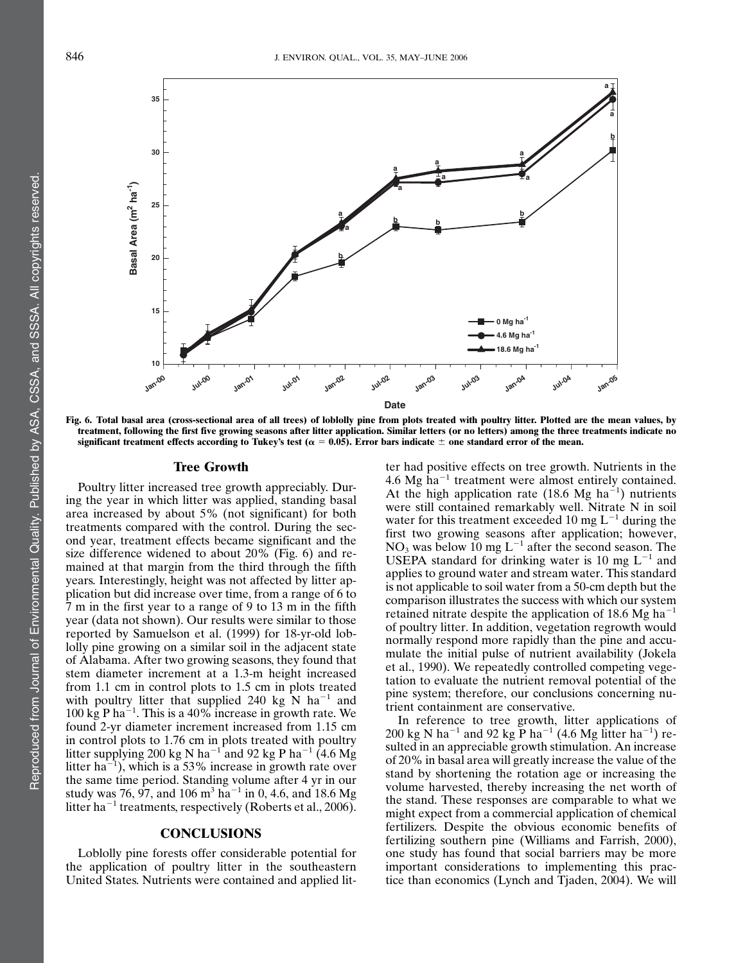

Fig. 6. Total basal area (cross-sectional area of all trees) of loblolly pine from plots treated with poultry litter. Plotted are the mean values, by treatment, following the first five growing seasons after litter application. Similar letters (or no letters) among the three treatments indicate no significant treatment effects according to Tukey's test ( $\alpha = 0.05$ ). Error bars indicate  $\pm$  one standard error of the mean.

### Tree Growth

Poultry litter increased tree growth appreciably. During the year in which litter was applied, standing basal area increased by about 5% (not significant) for both treatments compared with the control. During the second year, treatment effects became significant and the size difference widened to about 20% (Fig. 6) and remained at that margin from the third through the fifth years. Interestingly, height was not affected by litter application but did increase over time, from a range of 6 to 7 m in the first year to a range of 9 to 13 m in the fifth year (data not shown). Our results were similar to those reported by Samuelson et al. (1999) for 18-yr-old loblolly pine growing on a similar soil in the adjacent state of Alabama. After two growing seasons, they found that stem diameter increment at a 1.3-m height increased from 1.1 cm in control plots to 1.5 cm in plots treated with poultry litter that supplied 240 kg N ha<sup>-1</sup> and 100 kg P ha<sup> $-1$ </sup>. This is a 40% increase in growth rate. We found 2-yr diameter increment increased from 1.15 cm in control plots to 1.76 cm in plots treated with poultry litter supplying 200 kg N ha<sup>-1</sup> and 92 kg P ha<sup>-1</sup> (4.6 Mg) litter ha<sup> $-1$ </sup>), which is a 53% increase in growth rate over the same time period. Standing volume after 4 yr in our study was 76, 97, and 106  $\text{m}^3$  ha<sup>-1</sup> in 0, 4.6, and 18.6 Mg litter ha<sup> $-1$ </sup> treatments, respectively (Roberts et al., 2006).

#### **CONCLUSIONS**

Loblolly pine forests offer considerable potential for the application of poultry litter in the southeastern United States. Nutrients were contained and applied lit-

ter had positive effects on tree growth. Nutrients in the 4.6 Mg  $ha^{-1}$  treatment were almost entirely contained. At the high application rate (18.6 Mg ha $^{-1}$ ) nutrients were still contained remarkably well. Nitrate N in soil water for this treatment exceeded 10 mg  $L^{-1}$  during the first two growing seasons after application; however,  $NO<sub>3</sub>$  was below 10 mg L<sup>-1</sup> after the second season. The USEPA standard for drinking water is 10 mg  $L^{-1}$  and applies to ground water and stream water. This standard is not applicable to soil water from a 50-cm depth but the comparison illustrates the success with which our system retained nitrate despite the application of 18.6 Mg ha<sup> $-1$ </sup> of poultry litter. In addition, vegetation regrowth would normally respond more rapidly than the pine and accumulate the initial pulse of nutrient availability (Jokela et al., 1990). We repeatedly controlled competing vegetation to evaluate the nutrient removal potential of the pine system; therefore, our conclusions concerning nutrient containment are conservative.

In reference to tree growth, litter applications of 200 kg N ha<sup>-1</sup> and 92 kg P ha<sup>-1</sup> (4.6 Mg litter ha<sup>-1</sup>) resulted in an appreciable growth stimulation. An increase of 20% in basal area will greatly increase the value of the stand by shortening the rotation age or increasing the volume harvested, thereby increasing the net worth of the stand. These responses are comparable to what we might expect from a commercial application of chemical fertilizers. Despite the obvious economic benefits of fertilizing southern pine (Williams and Farrish, 2000), one study has found that social barriers may be more important considerations to implementing this practice than economics (Lynch and Tjaden, 2004). We will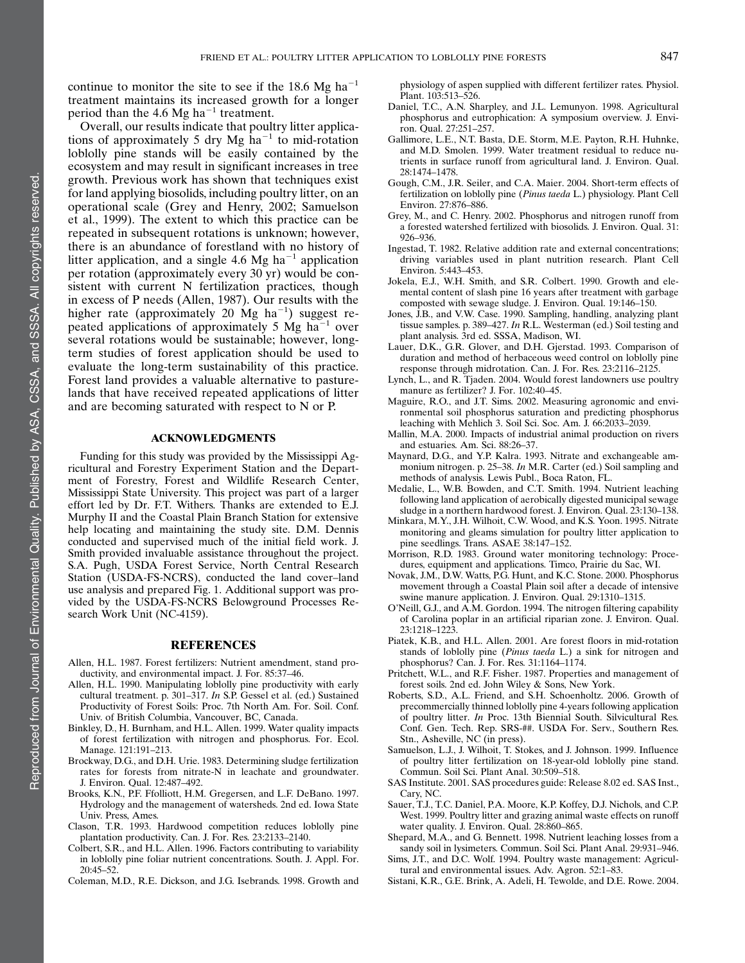continue to monitor the site to see if the 18.6 Mg ha<sup> $-1$ </sup> treatment maintains its increased growth for a longer period than the 4.6 Mg ha<sup> $-1$ </sup> treatment.

Overall, our results indicate that poultry litter applications of approximately 5 dry Mg  $ha^{-1}$  to mid-rotation loblolly pine stands will be easily contained by the ecosystem and may result in significant increases in tree growth. Previous work has shown that techniques exist for land applying biosolids, including poultry litter, on an operational scale (Grey and Henry, 2002; Samuelson et al., 1999). The extent to which this practice can be repeated in subsequent rotations is unknown; however, there is an abundance of forestland with no history of litter application, and a single 4.6 Mg ha<sup> $-1$ </sup> application per rotation (approximately every 30 yr) would be consistent with current N fertilization practices, though in excess of P needs (Allen, 1987). Our results with the higher rate (approximately 20  $Mg$  ha<sup>-1</sup>) suggest repeated applications of approximately 5 Mg  $ha^{-1}$  over several rotations would be sustainable; however, longterm studies of forest application should be used to evaluate the long-term sustainability of this practice. Forest land provides a valuable alternative to pasturelands that have received repeated applications of litter and are becoming saturated with respect to N or P.

#### ACKNOWLEDGMENTS

Funding for this study was provided by the Mississippi Agricultural and Forestry Experiment Station and the Department of Forestry, Forest and Wildlife Research Center, Mississippi State University. This project was part of a larger effort led by Dr. F.T. Withers. Thanks are extended to E.J. Murphy II and the Coastal Plain Branch Station for extensive help locating and maintaining the study site. D.M. Dennis conducted and supervised much of the initial field work. J. Smith provided invaluable assistance throughout the project. S.A. Pugh, USDA Forest Service, North Central Research Station (USDA-FS-NCRS), conducted the land cover–land use analysis and prepared Fig. 1. Additional support was provided by the USDA-FS-NCRS Belowground Processes Research Work Unit (NC-4159).

#### **REFERENCES**

- Allen, H.L. 1987. Forest fertilizers: Nutrient amendment, stand productivity, and environmental impact. J. For. 85:37–46.
- Allen, H.L. 1990. Manipulating loblolly pine productivity with early cultural treatment. p. 301–317. In S.P. Gessel et al. (ed.) Sustained Productivity of Forest Soils: Proc. 7th North Am. For. Soil. Conf. Univ. of British Columbia, Vancouver, BC, Canada.
- Binkley, D., H. Burnham, and H.L. Allen. 1999. Water quality impacts of forest fertilization with nitrogen and phosphorus. For. Ecol. Manage. 121:191–213.
- Brockway, D.G., and D.H. Urie. 1983. Determining sludge fertilization rates for forests from nitrate-N in leachate and groundwater. J. Environ. Qual. 12:487–492.
- Brooks, K.N., P.F. Ffolliott, H.M. Gregersen, and L.F. DeBano. 1997. Hydrology and the management of watersheds. 2nd ed. Iowa State Univ. Press, Ames.
- Clason, T.R. 1993. Hardwood competition reduces loblolly pine plantation productivity. Can. J. For. Res. 23:2133–2140.
- Colbert, S.R., and H.L. Allen. 1996. Factors contributing to variability in loblolly pine foliar nutrient concentrations. South. J. Appl. For. 20:45–52.
- Coleman, M.D., R.E. Dickson, and J.G. Isebrands. 1998. Growth and

physiology of aspen supplied with different fertilizer rates. Physiol. Plant. 103:513–526.

- Daniel, T.C., A.N. Sharpley, and J.L. Lemunyon. 1998. Agricultural phosphorus and eutrophication: A symposium overview. J. Environ. Qual. 27:251–257.
- Gallimore, L.E., N.T. Basta, D.E. Storm, M.E. Payton, R.H. Huhnke, and M.D. Smolen. 1999. Water treatment residual to reduce nutrients in surface runoff from agricultural land. J. Environ. Qual. 28:1474–1478.
- Gough, C.M., J.R. Seiler, and C.A. Maier. 2004. Short-term effects of fertilization on loblolly pine (Pinus taeda L.) physiology. Plant Cell Environ. 27:876–886.
- Grey, M., and C. Henry. 2002. Phosphorus and nitrogen runoff from a forested watershed fertilized with biosolids. J. Environ. Qual. 31: 926–936.
- Ingestad, T. 1982. Relative addition rate and external concentrations; driving variables used in plant nutrition research. Plant Cell Environ. 5:443–453.
- Jokela, E.J., W.H. Smith, and S.R. Colbert. 1990. Growth and elemental content of slash pine 16 years after treatment with garbage composted with sewage sludge. J. Environ. Qual. 19:146–150.
- Jones, J.B., and V.W. Case. 1990. Sampling, handling, analyzing plant tissue samples. p. 389–427. In R.L. Westerman (ed.) Soil testing and plant analysis. 3rd ed. SSSA, Madison, WI.
- Lauer, D.K., G.R. Glover, and D.H. Gjerstad. 1993. Comparison of duration and method of herbaceous weed control on loblolly pine response through midrotation. Can. J. For. Res. 23:2116–2125.
- Lynch, L., and R. Tjaden. 2004. Would forest landowners use poultry manure as fertilizer? J. For. 102:40–45.
- Maguire, R.O., and J.T. Sims. 2002. Measuring agronomic and environmental soil phosphorus saturation and predicting phosphorus leaching with Mehlich 3. Soil Sci. Soc. Am. J. 66:2033–2039.
- Mallin, M.A. 2000. Impacts of industrial animal production on rivers and estuaries. Am. Sci. 88:26–37.
- Maynard, D.G., and Y.P. Kalra. 1993. Nitrate and exchangeable ammonium nitrogen. p. 25–38. In M.R. Carter (ed.) Soil sampling and methods of analysis. Lewis Publ., Boca Raton, FL.
- Medalie, L., W.B. Bowden, and C.T. Smith. 1994. Nutrient leaching following land application of aerobically digested municipal sewage sludge in a northern hardwood forest. J. Environ. Qual. 23:130–138.
- Minkara, M.Y., J.H. Wilhoit, C.W. Wood, and K.S. Yoon. 1995. Nitrate monitoring and gleams simulation for poultry litter application to pine seedlings. Trans. ASAE 38:147–152.
- Morrison, R.D. 1983. Ground water monitoring technology: Procedures, equipment and applications. Timco, Prairie du Sac, WI.
- Novak, J.M., D.W. Watts, P.G. Hunt, and K.C. Stone. 2000. Phosphorus movement through a Coastal Plain soil after a decade of intensive swine manure application. J. Environ. Qual. 29:1310–1315.
- O'Neill, G.J., and A.M. Gordon. 1994. The nitrogen filtering capability of Carolina poplar in an artificial riparian zone. J. Environ. Qual. 23:1218–1223.
- Piatek, K.B., and H.L. Allen. 2001. Are forest floors in mid-rotation stands of loblolly pine (Pinus taeda L.) a sink for nitrogen and phosphorus? Can. J. For. Res. 31:1164–1174.
- Pritchett, W.L., and R.F. Fisher. 1987. Properties and management of forest soils. 2nd ed. John Wiley & Sons, New York.
- Roberts, S.D., A.L. Friend, and S.H. Schoenholtz. 2006. Growth of precommercially thinned loblolly pine 4-years following application of poultry litter. In Proc. 13th Biennial South. Silvicultural Res. Conf. Gen. Tech. Rep. SRS-##. USDA For. Serv., Southern Res. Stn., Asheville, NC (in press).
- Samuelson, L.J., J. Wilhoit, T. Stokes, and J. Johnson. 1999. Influence of poultry litter fertilization on 18-year-old loblolly pine stand. Commun. Soil Sci. Plant Anal. 30:509–518.
- SAS Institute. 2001. SAS procedures guide: Release 8.02 ed. SAS Inst., Cary, NC.
- Sauer, T.J., T.C. Daniel, P.A. Moore, K.P. Koffey, D.J. Nichols, and C.P. West. 1999. Poultry litter and grazing animal waste effects on runoff water quality. J. Environ. Qual. 28:860–865.
- Shepard, M.A., and G. Bennett. 1998. Nutrient leaching losses from a sandy soil in lysimeters. Commun. Soil Sci. Plant Anal. 29:931–946.
- Sims, J.T., and D.C. Wolf. 1994. Poultry waste management: Agricultural and environmental issues. Adv. Agron. 52:1–83.
- Sistani, K.R., G.E. Brink, A. Adeli, H. Tewolde, and D.E. Rowe. 2004.